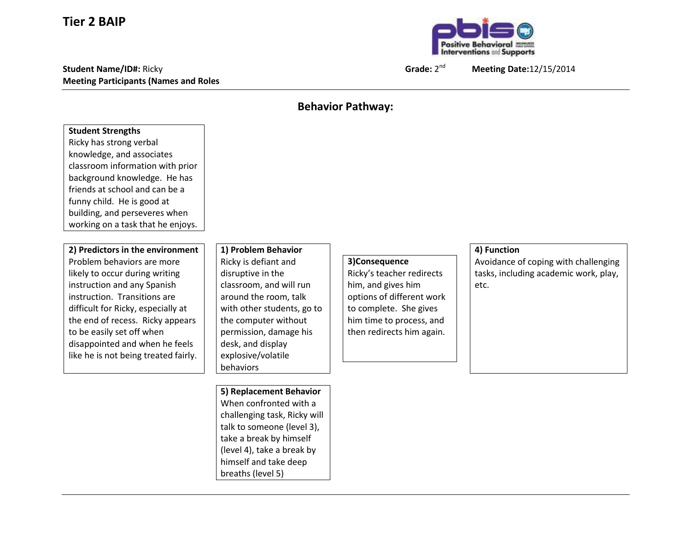## **Tier 2 BAIP**

**Student Name/ID#:** Ricky **Grade:** 2 **Meeting Participants (Names and Roles**



nd **Meeting Date:**12/15/2014

## **Behavior Pathway:**

## **Student Strengths** Ricky has strong verbal knowledge, and associates classroom information with prior background knowledge. He has friends at school and can be a funny child. He is good at building, and perseveres when working on a task that he enjoys. **2) Predictors in the environment** Problem behaviors are more likely to occur during writing instruction and any Spanish instruction. Transitions are difficult for Ricky, especially at the end of recess. Ricky appears to be easily set off when disappointed and when he feels like he is not being treated fairly. **1) Problem Behavior** Ricky is defiant and disruptive in the classroom, and will run around the room, talk with other students, go to the computer without permission, damage his desk, and display explosive/volatile behaviors **3)Consequence** Ricky's teacher redirects him, and gives him options of different work to complete. She gives him time to process, and then redirects him again. **4) Function** Avoidance of coping with challenging tasks, including academic work, play, etc. **5) Replacement Behavior** When confronted with a challenging task, Ricky will talk to someone (level 3),

take a break by himself (level 4), take a break by himself and take deep breaths (level 5)